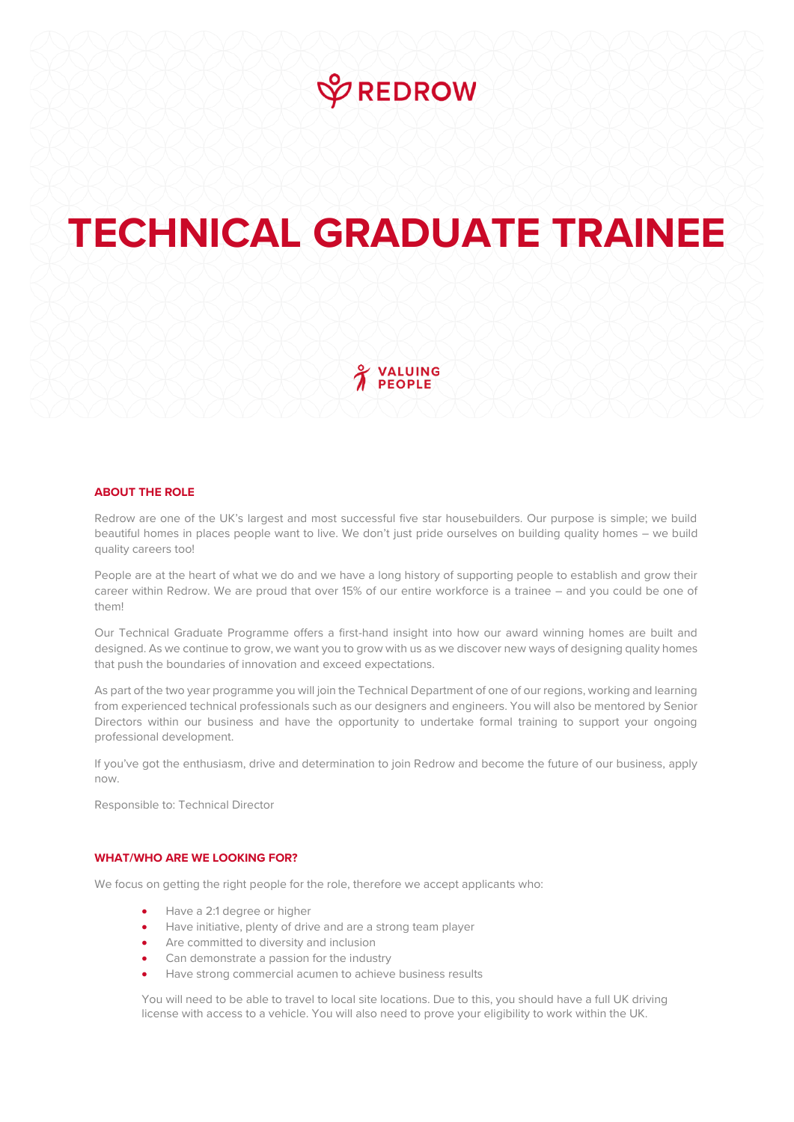

## **TECHNICAL GRADUATE TRAINEE**

VALUING **PEOPLE** 

## **ABOUT THE ROLE**

Redrow are one of the UK's largest and most successful five star housebuilders. Our purpose is simple; we build beautiful homes in places people want to live. We don't just pride ourselves on building quality homes – we build quality careers too!

People are at the heart of what we do and we have a long history of supporting people to establish and grow their career within Redrow. We are proud that over 15% of our entire workforce is a trainee – and you could be one of them!

Our Technical Graduate Programme offers a first-hand insight into how our award winning homes are built and designed. As we continue to grow, we want you to grow with us as we discover new ways of designing quality homes that push the boundaries of innovation and exceed expectations.

As part of the two year programme you will join the Technical Department of one of our regions, working and learning from experienced technical professionals such as our designers and engineers. You will also be mentored by Senior Directors within our business and have the opportunity to undertake formal training to support your ongoing professional development.

If you've got the enthusiasm, drive and determination to join Redrow and become the future of our business, apply now.

Responsible to: Technical Director

## **WHAT/WHO ARE WE LOOKING FOR?**

We focus on getting the right people for the role, therefore we accept applicants who:

- Have a 2:1 degree or higher
- Have initiative, plenty of drive and are a strong team player
- Are committed to diversity and inclusion
- Can demonstrate a passion for the industry
- Have strong commercial acumen to achieve business results

You will need to be able to travel to local site locations. Due to this, you should have a full UK driving license with access to a vehicle. You will also need to prove your eligibility to work within the UK.